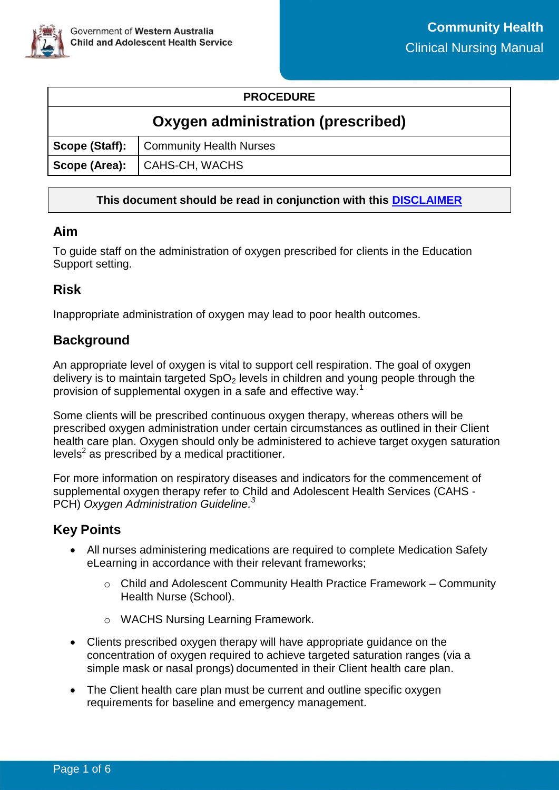

### **PROCEDURE**

# **Oxygen administration (prescribed)**

|  | Scope (Staff):   Community Health Nurses |  |  |  |
|--|------------------------------------------|--|--|--|
|  | Scope (Area): CAHS-CH, WACHS             |  |  |  |

### **This document should be read in conjunction with this [DISCLAIMER](https://cahs.health.wa.gov.au/For-health-professionals/Resources/CAHS-Clinical-Disclaimer)**

### **Aim**

To guide staff on the administration of oxygen prescribed for clients in the Education Support setting.

### **Risk**

Inappropriate administration of oxygen may lead to poor health outcomes.

# **Background**

An appropriate level of oxygen is vital to support cell respiration. The goal of oxygen delivery is to maintain targeted  $SpO<sub>2</sub>$  levels in children and young people through the provision of supplemental oxygen in a safe and effective way.<sup>1</sup>

Some clients will be prescribed continuous oxygen therapy, whereas others will be prescribed oxygen administration under certain circumstances as outlined in their Client health care plan. Oxygen should only be administered to achieve target oxygen saturation levels $2$  as prescribed by a medical practitioner.

For more information on respiratory diseases and indicators for the commencement of supplemental oxygen therapy refer to Child and Adolescent Health Services (CAHS - PCH) *Oxygen Administration Guideline.<sup>3</sup>* 

### **Key Points**

- All nurses administering medications are required to complete Medication Safety eLearning in accordance with their relevant frameworks;
	- o Child and Adolescent Community Health Practice Framework Community Health Nurse (School).
	- o WACHS Nursing Learning Framework.
- Clients prescribed oxygen therapy will have appropriate guidance on the concentration of oxygen required to achieve targeted saturation ranges (via a simple mask or nasal prongs) documented in their Client health care plan.
- The Client health care plan must be current and outline specific oxygen requirements for baseline and emergency management.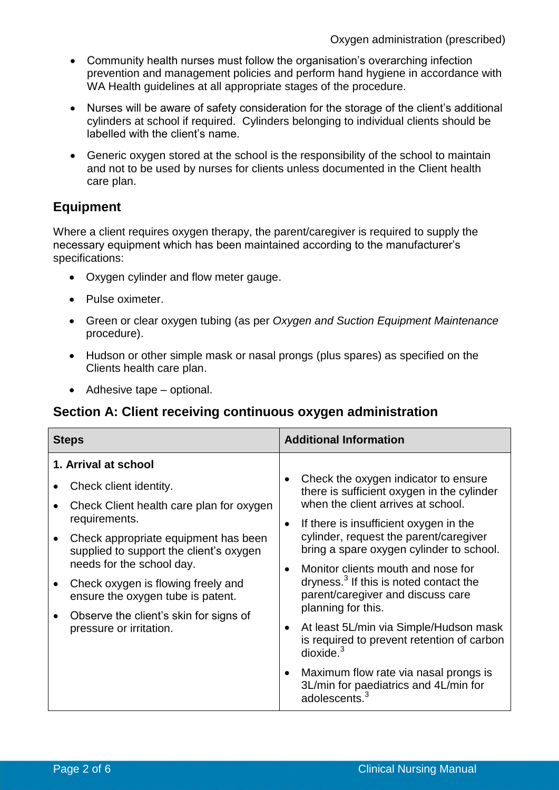- Community health nurses must follow the organisation's overarching infection prevention and management policies and perform hand hygiene in accordance with WA Health guidelines at all appropriate stages of the procedure.
- Nurses will be aware of safety consideration for the storage of the client's additional cylinders at school if required. Cylinders belonging to individual clients should be labelled with the client's name.
- Generic oxygen stored at the school is the responsibility of the school to maintain and not to be used by nurses for clients unless documented in the Client health care plan.

# **Equipment**

Where a client requires oxygen therapy, the parent/caregiver is required to supply the necessary equipment which has been maintained according to the manufacturer's specifications:

- Oxygen cylinder and flow meter gauge.
- Pulse oximeter.
- Green or clear oxygen tubing (as per *Oxygen and Suction Equipment Maintenance* procedure).
- Hudson or other simple mask or nasal prongs (plus spares) as specified on the Clients health care plan.
- Adhesive tape optional.

### **Section A: Client receiving continuous oxygen administration**

| <b>Steps</b>         |                                                                                                                                                                                                          | <b>Additional Information</b>                                                                               |                                                                                                                                                     |
|----------------------|----------------------------------------------------------------------------------------------------------------------------------------------------------------------------------------------------------|-------------------------------------------------------------------------------------------------------------|-----------------------------------------------------------------------------------------------------------------------------------------------------|
| 1. Arrival at school |                                                                                                                                                                                                          |                                                                                                             |                                                                                                                                                     |
|                      | Check client identity.<br>Check Client health care plan for oxygen                                                                                                                                       |                                                                                                             | Check the oxygen indicator to ensure<br>there is sufficient oxygen in the cylinder<br>when the client arrives at school.                            |
|                      |                                                                                                                                                                                                          |                                                                                                             |                                                                                                                                                     |
|                      | requirements.<br>Check appropriate equipment has been<br>supplied to support the client's oxygen<br>needs for the school day.<br>Check oxygen is flowing freely and<br>ensure the oxygen tube is patent. | $\bullet$<br>$\bullet$                                                                                      | If there is insufficient oxygen in the<br>cylinder, request the parent/caregiver<br>bring a spare oxygen cylinder to school.                        |
|                      |                                                                                                                                                                                                          |                                                                                                             | Monitor clients mouth and nose for<br>dryness. <sup>3</sup> If this is noted contact the<br>parent/caregiver and discuss care<br>planning for this. |
|                      |                                                                                                                                                                                                          |                                                                                                             |                                                                                                                                                     |
|                      | ٠                                                                                                                                                                                                        |                                                                                                             |                                                                                                                                                     |
|                      | $\bullet$                                                                                                                                                                                                | Maximum flow rate via nasal prongs is<br>3L/min for paediatrics and 4L/min for<br>adolescents. <sup>3</sup> |                                                                                                                                                     |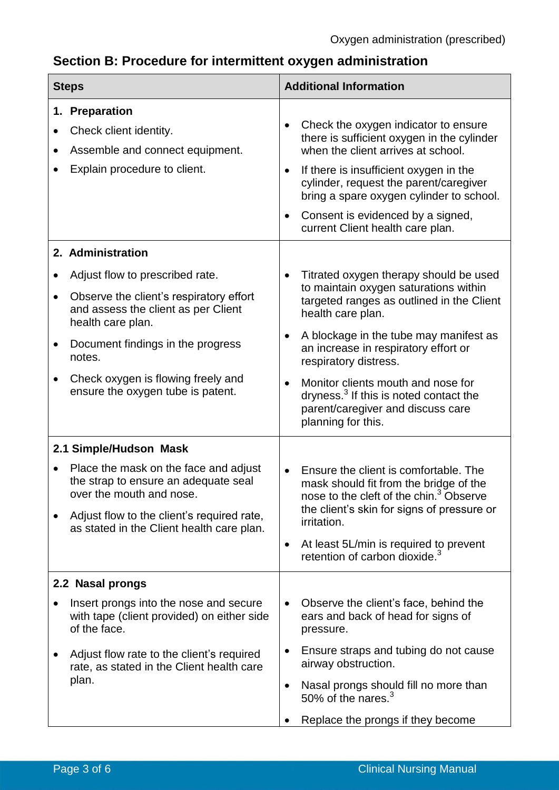# **Section B: Procedure for intermittent oxygen administration**

| <b>Steps</b>           |                                                                                                                                                                                                                                                                                       | <b>Additional Information</b>       |                                                                                                                                                                                                                                                                                                                                                                                                                     |  |
|------------------------|---------------------------------------------------------------------------------------------------------------------------------------------------------------------------------------------------------------------------------------------------------------------------------------|-------------------------------------|---------------------------------------------------------------------------------------------------------------------------------------------------------------------------------------------------------------------------------------------------------------------------------------------------------------------------------------------------------------------------------------------------------------------|--|
|                        | 1. Preparation<br>Check client identity.<br>Assemble and connect equipment.<br>Explain procedure to client.                                                                                                                                                                           | $\bullet$<br>$\bullet$<br>$\bullet$ | Check the oxygen indicator to ensure<br>there is sufficient oxygen in the cylinder<br>when the client arrives at school.<br>If there is insufficient oxygen in the<br>cylinder, request the parent/caregiver<br>bring a spare oxygen cylinder to school.<br>Consent is evidenced by a signed,<br>current Client health care plan.                                                                                   |  |
| $\bullet$<br>$\bullet$ | 2. Administration<br>Adjust flow to prescribed rate.<br>Observe the client's respiratory effort<br>and assess the client as per Client<br>health care plan.<br>Document findings in the progress<br>notes.<br>Check oxygen is flowing freely and<br>ensure the oxygen tube is patent. | $\bullet$<br>٠<br>$\bullet$         | Titrated oxygen therapy should be used<br>to maintain oxygen saturations within<br>targeted ranges as outlined in the Client<br>health care plan.<br>A blockage in the tube may manifest as<br>an increase in respiratory effort or<br>respiratory distress.<br>Monitor clients mouth and nose for<br>dryness. <sup>3</sup> If this is noted contact the<br>parent/caregiver and discuss care<br>planning for this. |  |
|                        | 2.1 Simple/Hudson Mask<br>Place the mask on the face and adjust<br>the strap to ensure an adequate seal<br>over the mouth and nose.<br>Adjust flow to the client's required rate,<br>as stated in the Client health care plan.                                                        | $\bullet$<br>$\bullet$              | Ensure the client is comfortable. The<br>mask should fit from the bridge of the<br>nose to the cleft of the chin. <sup>3</sup> Observe<br>the client's skin for signs of pressure or<br>irritation.<br>At least 5L/min is required to prevent<br>retention of carbon dioxide. <sup>3</sup>                                                                                                                          |  |
|                        | 2.2 Nasal prongs<br>Insert prongs into the nose and secure<br>with tape (client provided) on either side<br>of the face.<br>Adjust flow rate to the client's required<br>rate, as stated in the Client health care<br>plan.                                                           | $\bullet$<br>$\bullet$<br>$\bullet$ | Observe the client's face, behind the<br>ears and back of head for signs of<br>pressure.<br>Ensure straps and tubing do not cause<br>airway obstruction.<br>Nasal prongs should fill no more than<br>50% of the nares. $3$<br>Replace the prongs if they become                                                                                                                                                     |  |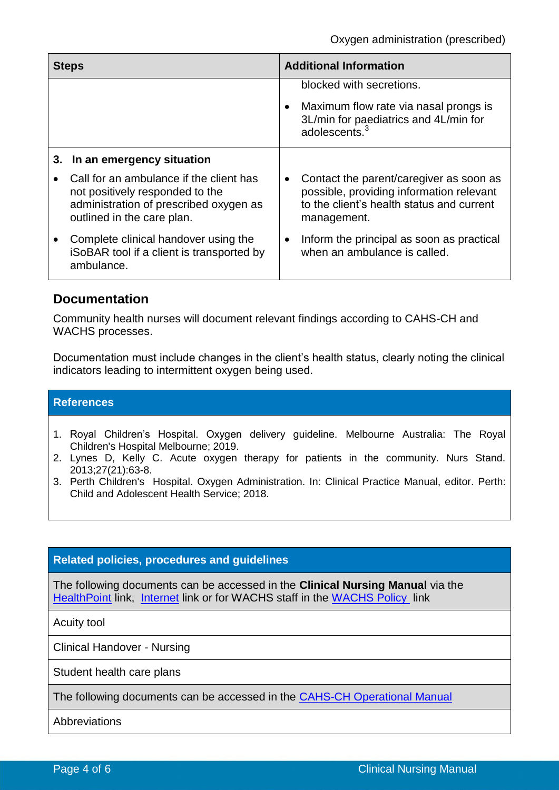| <b>Steps</b> |                                                                                                                                                    | <b>Additional Information</b> |                                                                                                                                                 |
|--------------|----------------------------------------------------------------------------------------------------------------------------------------------------|-------------------------------|-------------------------------------------------------------------------------------------------------------------------------------------------|
|              |                                                                                                                                                    |                               | blocked with secretions.<br>Maximum flow rate via nasal prongs is<br>3L/min for paediatrics and 4L/min for<br>adolescents. $3$                  |
|              | 3. In an emergency situation                                                                                                                       |                               |                                                                                                                                                 |
|              | Call for an ambulance if the client has<br>not positively responded to the<br>administration of prescribed oxygen as<br>outlined in the care plan. |                               | Contact the parent/caregiver as soon as<br>possible, providing information relevant<br>to the client's health status and current<br>management. |
|              | Complete clinical handover using the<br>iSoBAR tool if a client is transported by<br>ambulance.                                                    | $\bullet$                     | Inform the principal as soon as practical<br>when an ambulance is called.                                                                       |

### **Documentation**

Community health nurses will document relevant findings according to CAHS-CH and WACHS processes.

Documentation must include changes in the client's health status, clearly noting the clinical indicators leading to intermittent oxygen being used.

#### **References**

- 1. Royal Children's Hospital. Oxygen delivery guideline. Melbourne Australia: The Royal Children's Hospital Melbourne; 2019.
- 2. Lynes D, Kelly C. Acute oxygen therapy for patients in the community. Nurs Stand. 2013;27(21):63-8.
- 3. Perth Children's Hospital. Oxygen Administration. In: Clinical Practice Manual, editor. Perth: Child and Adolescent Health Service; 2018.

#### **Related policies, procedures and guidelines**

The following documents can be accessed in the **Clinical Nursing Manual** via the [HealthPoint](https://healthpoint.hdwa.health.wa.gov.au/policies/Pages/CACH-Community-Health.aspx) link, [Internet](https://ww2.health.wa.gov.au/About-us/Child-and-Adolescent-Health-Service/Child-and-Adolescent-Community-Health/Professional-resources/Community-Health-Clinical-Nursing-Manual) link or for WACHS staff in the [WACHS Policy](https://healthpoint.hdwa.health.wa.gov.au/policies/Pages/WACHS%20Policy%20Pages/WACHS-Policies.aspx) link

Acuity tool

Clinical Handover - Nursing

Student health care plans

The following documents can be accessed in the CAHS-CH [Operational Manual](https://healthpoint.hdwa.health.wa.gov.au/policies/Pages/CACH-Operational-Policies.aspx)

[Abbreviations](https://healthpoint.hdwa.health.wa.gov.au/policies/Policies/CAHS/CAHS.PM.Abbreviations.pdf)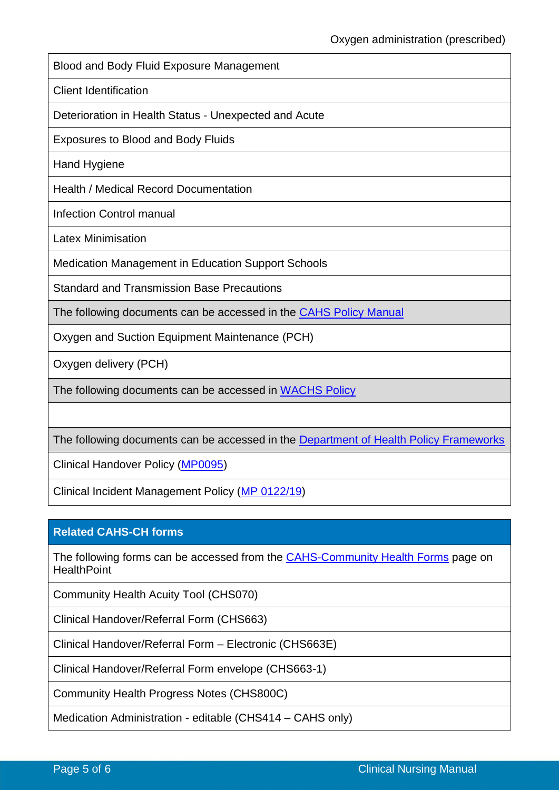Blood and Body Fluid Exposure Management

Client Identification

Deterioration in Health Status - Unexpected and Acute

[Exposures to Blood and Body Fluids](https://healthpoint.hdwa.health.wa.gov.au/policies/Policies/CAHS/CAHS.INFECTCTRL.ExposureToBloodandBodyFluids.pdf)

Hand Hygiene

Health / Medical Record Documentation

Infection Control manual

Latex Minimisation

Medication Management in Education Support Schools

[Standard and Transmission Base Precautions](https://healthpoint.hdwa.health.wa.gov.au/policies/Policies/CAHS/CAHS.INFECTCTRL.StandardAndTransmissionBasedPrecautions.pdf)

The following documents can be accessed in the [CAHS Policy Manual](https://healthpoint.hdwa.health.wa.gov.au/policies/Pages/CAHS-Policies-Corporate.aspx)

Oxygen and Suction Equipment Maintenance (PCH)

Oxygen delivery (PCH)

The following documents can be accessed in [WACHS Policy](https://healthpoint.hdwa.health.wa.gov.au/policies/Pages/WACHS%20Policy%20Pages/WACHS-Policies.aspx) 

The following documents can be accessed in the [Department of Health Policy Frameworks](https://ww2.health.wa.gov.au/About-us/Policy-Frameworks)

Clinical Handover Policy [\(MP0095\)](https://ww2.health.wa.gov.au/About-us/Policy-frameworks/Clinical-Governance-Safety-and-Quality/Mandatory-requirements/Clinical-Handover-Policy)

Clinical Incident Management Policy [\(MP 0122/19\)](https://ww2.health.wa.gov.au/About-us/Policy-frameworks/Clinical-Governance-Safety-and-Quality/Mandatory-requirements/Clinical-Incident-Management-Policy)

#### **Related CAHS-CH forms**

The following forms can be accessed from the [CAHS-Community Health Forms](https://cahs-healthpoint.hdwa.health.wa.gov.au/cach/forms/Pages/default.aspx) page on **HealthPoint** 

Community Health Acuity Tool (CHS070)

Clinical Handover/Referral Form (CHS663)

Clinical Handover/Referral Form – Electronic (CHS663E)

Clinical Handover/Referral Form envelope (CHS663-1)

Community Health Progress Notes (CHS800C)

Medication Administration - editable (CHS414 – CAHS only)